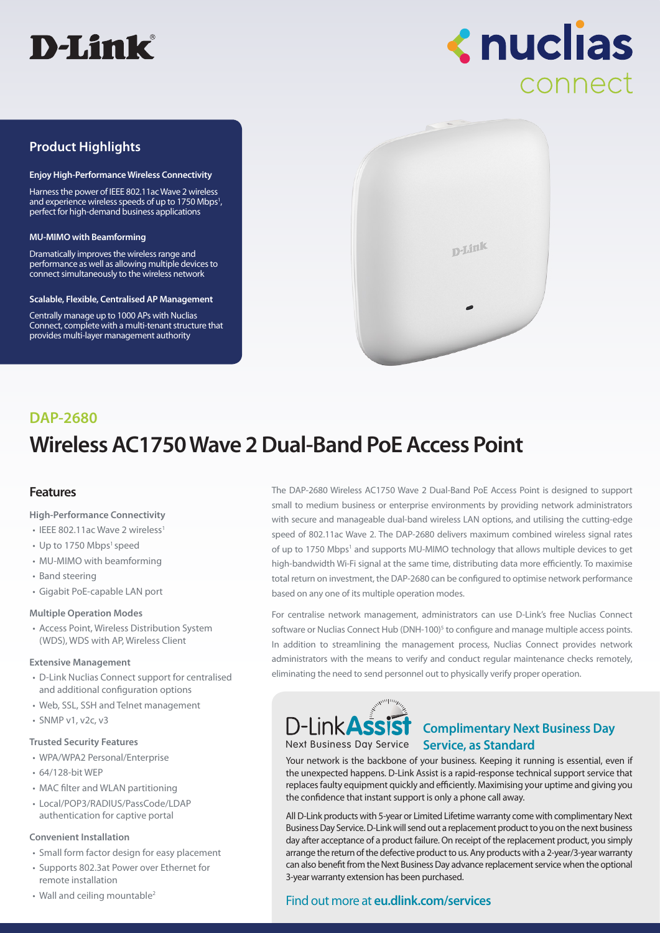



# **Product Highlights**

#### **Enjoy High-Performance Wireless Connectivity**

Harness the power of IEEE 802.11ac Wave 2 wireless and experience wireless speeds of up to 1750 Mbps<sup>1</sup>, perfect for high-demand business applications

#### **MU-MIMO with Beamforming**

Dramatically improves the wireless range and performance as well as allowing multiple devices to connect simultaneously to the wireless network

#### **Scalable, Flexible, Centralised AP Management**

Centrally manage up to 1000 APs with Nuclias Connect, complete with a multi-tenant structure that provides multi-layer management authority



# **DAP-2680**

# **Wireless AC1750 Wave 2 Dual-Band PoE Access Point**

## **Features**

#### **High-Performance Connectivity**

- IFFF 802.11ac Wave 2 wireless<sup>1</sup>
- Up to 1750 Mbps<sup>1</sup> speed
- MU-MIMO with beamforming
- Band steering
- Gigabit PoE-capable LAN port

#### **Multiple Operation Modes**

• Access Point, Wireless Distribution System (WDS), WDS with AP, Wireless Client

#### **Extensive Management**

- D-Link Nuclias Connect support for centralised and additional configuration options
- Web, SSL, SSH and Telnet management
- SNMP v1, v2c, v3

#### **Trusted Security Features**

- WPA/WPA2 Personal/Enterprise
- 64/128-bit WEP
- MAC filter and WLAN partitioning
- Local/POP3/RADIUS/PassCode/LDAP authentication for captive portal

#### **Convenient Installation**

- Small form factor design for easy placement
- Supports 802.3at Power over Ethernet for remote installation
- Wall and ceiling mountable<sup>2</sup>

The DAP-2680 Wireless AC1750 Wave 2 Dual-Band PoE Access Point is designed to support small to medium business or enterprise environments by providing network administrators with secure and manageable dual-band wireless LAN options, and utilising the cutting-edge speed of 802.11ac Wave 2. The DAP-2680 delivers maximum combined wireless signal rates of up to 1750 Mbps<sup>1</sup> and supports MU-MIMO technology that allows multiple devices to get high-bandwidth Wi-Fi signal at the same time, distributing data more efficiently. To maximise total return on investment, the DAP-2680 can be configured to optimise network performance based on any one of its multiple operation modes.

For centralise network management, administrators can use D-Link's free Nuclias Connect software or Nuclias Connect Hub (DNH-100)<sup>5</sup> to configure and manage multiple access points. In addition to streamlining the management process, Nuclias Connect provides network administrators with the means to verify and conduct regular maintenance checks remotely, eliminating the need to send personnel out to physically verify proper operation.



# **Complimentary Next Business Day**  Next Business Day Service **Service, as Standard**

Your network is the backbone of your business. Keeping it running is essential, even if the unexpected happens. D-Link Assist is a rapid-response technical support service that replaces faulty equipment quickly and efficiently. Maximising your uptime and giving you the confidence that instant support is only a phone call away.

All D-Link products with 5-year or Limited Lifetime warranty come with complimentary Next Business Day Service. D-Link will send out a replacement product to you on the next business day after acceptance of a product failure. On receipt of the replacement product, you simply arrange the return of the defective product to us. Any products with a 2-year/3-year warranty can also benefit from the Next Business Day advance replacement service when the optional 3-year warranty extension has been purchased.

# Find out more at **eu.dlink.com/services**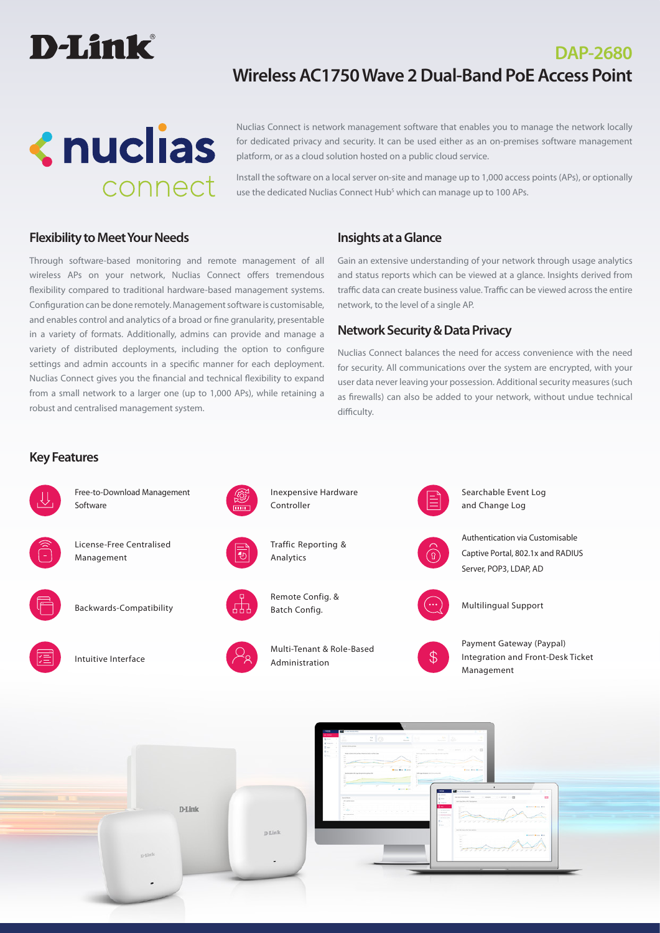# D-Link®



**Wireless AC1750 Wave 2 Dual-Band PoE Access Point**

Nuclias Connect is network management software that enables you to manage the network locally for dedicated privacy and security. It can be used either as an on-premises software management platform, or as a cloud solution hosted on a public cloud service.

Install the software on a local server on-site and manage up to 1,000 access points (APs), or optionally use the dedicated Nuclias Connect Hub<sup>5</sup> which can manage up to 100 APs.

# **Flexibility to Meet Your Needs**

Through software-based monitoring and remote management of all wireless APs on your network, Nuclias Connect offers tremendous flexibility compared to traditional hardware-based management systems. Configuration can be done remotely. Management software is customisable, and enables control and analytics of a broad or fine granularity, presentable in a variety of formats. Additionally, admins can provide and manage a variety of distributed deployments, including the option to configure settings and admin accounts in a specific manner for each deployment. Nuclias Connect gives you the financial and technical flexibility to expand from a small network to a larger one (up to 1,000 APs), while retaining a robust and centralised management system.

# **Insights at a Glance**

Gain an extensive understanding of your network through usage analytics and status reports which can be viewed at a glance. Insights derived from traffic data can create business value. Traffic can be viewed across the entire network, to the level of a single AP.

**DAP-2680**

## **Network Security & Data Privacy**

Nuclias Connect balances the need for access convenience with the need for security. All communications over the system are encrypted, with your user data never leaving your possession. Additional security measures (such as firewalls) can also be added to your network, without undue technical difficulty.

### **Key Features**

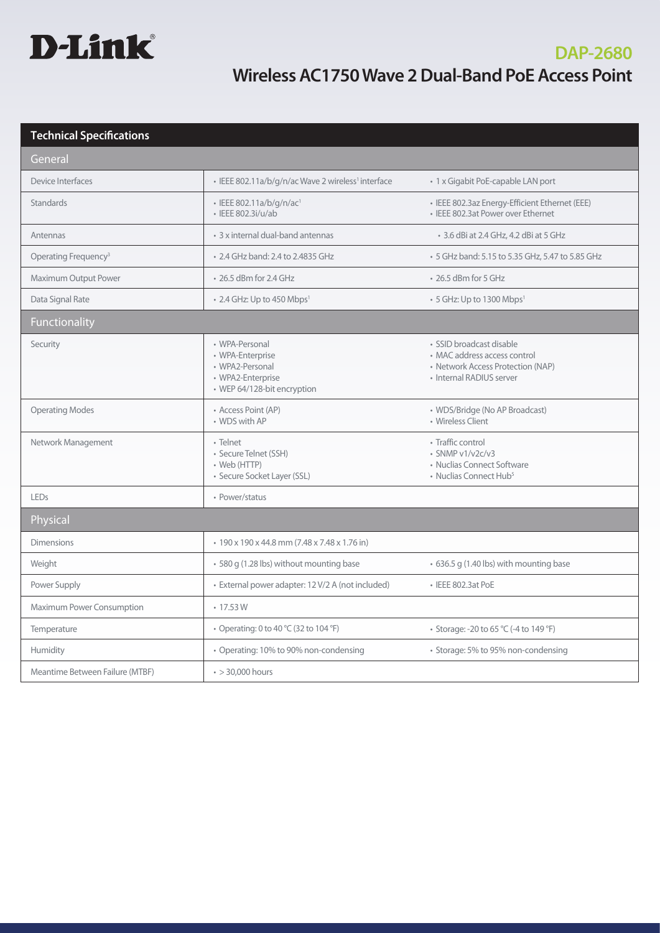

# **Technical Specifications**

| General                          |                                                                                                           |                                                                                                                           |
|----------------------------------|-----------------------------------------------------------------------------------------------------------|---------------------------------------------------------------------------------------------------------------------------|
| Device Interfaces                | · IEEE 802.11a/b/g/n/ac Wave 2 wireless <sup>1</sup> interface                                            | · 1 x Gigabit PoE-capable LAN port                                                                                        |
| <b>Standards</b>                 | · IEEE 802.11a/b/g/n/ac1<br>· IEEE 802.3i/u/ab                                                            | · IEEE 802.3az Energy-Efficient Ethernet (EEE)<br>• IEEE 802.3at Power over Ethernet                                      |
| Antennas                         | • 3 x internal dual-band antennas                                                                         | • 3.6 dBi at 2.4 GHz, 4.2 dBi at 5 GHz                                                                                    |
| Operating Frequency <sup>3</sup> | • 2.4 GHz band: 2.4 to 2.4835 GHz                                                                         | • 5 GHz band: 5.15 to 5.35 GHz, 5.47 to 5.85 GHz                                                                          |
| Maximum Output Power             | • 26.5 dBm for 2.4 GHz                                                                                    | • 26.5 dBm for 5 GHz                                                                                                      |
| Data Signal Rate                 | • 2.4 GHz: Up to 450 Mbps <sup>1</sup>                                                                    | $\cdot$ 5 GHz: Up to 1300 Mbps <sup>1</sup>                                                                               |
| Functionality                    |                                                                                                           |                                                                                                                           |
| Security                         | • WPA-Personal<br>• WPA-Enterprise<br>• WPA2-Personal<br>· WPA2-Enterprise<br>• WEP 64/128-bit encryption | · SSID broadcast disable<br>• MAC address access control<br>• Network Access Protection (NAP)<br>• Internal RADIUS server |
| <b>Operating Modes</b>           | • Access Point (AP)<br>• WDS with AP                                                                      | • WDS/Bridge (No AP Broadcast)<br>• Wireless Client                                                                       |
| Network Management               | • Telnet<br>· Secure Telnet (SSH)<br>• Web (HTTP)<br>· Secure Socket Layer (SSL)                          | • Traffic control<br>$\cdot$ SNMP v1/v2c/v3<br>• Nuclias Connect Software<br>• Nuclias Connect Hub <sup>5</sup>           |
| LEDs                             | • Power/status                                                                                            |                                                                                                                           |
| Physical                         |                                                                                                           |                                                                                                                           |
| <b>Dimensions</b>                | • 190 x 190 x 44.8 mm (7.48 x 7.48 x 1.76 in)                                                             |                                                                                                                           |
| Weight                           | · 580 g (1.28 lbs) without mounting base                                                                  | • 636.5 g (1.40 lbs) with mounting base                                                                                   |
| Power Supply                     | · External power adapter: 12 V/2 A (not included)                                                         | • IEEE 802.3at PoE                                                                                                        |
| Maximum Power Consumption        | $\cdot$ 17.53 W                                                                                           |                                                                                                                           |
| Temperature                      | • Operating: 0 to 40 °C (32 to 104 °F)                                                                    | • Storage: -20 to 65 °C (-4 to 149 °F)                                                                                    |
| Humidity                         | • Operating: 10% to 90% non-condensing                                                                    | • Storage: 5% to 95% non-condensing                                                                                       |
| Meantime Between Failure (MTBF)  | $\cdot$ > 30,000 hours                                                                                    |                                                                                                                           |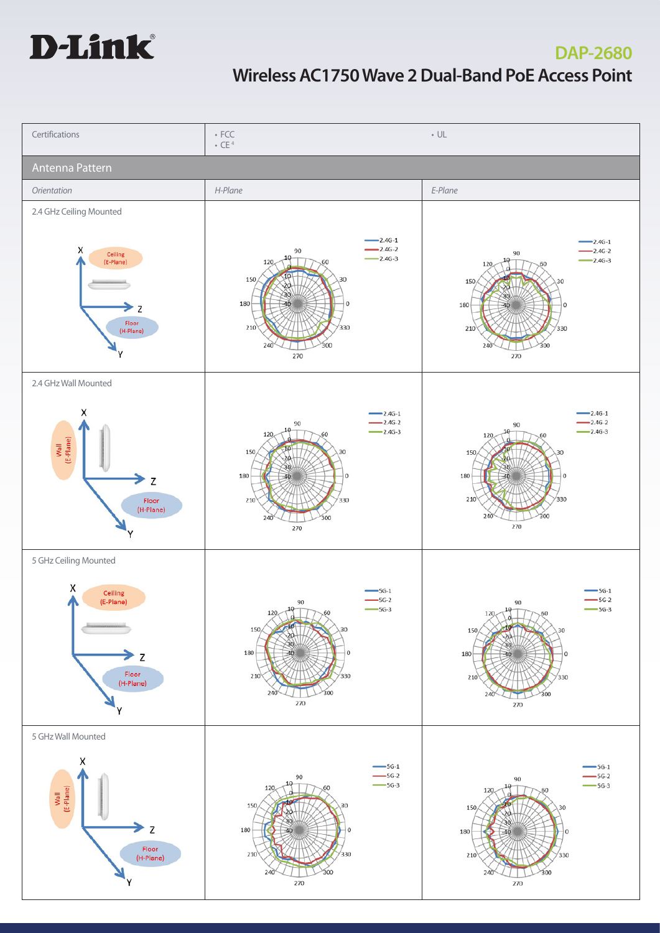

# **DAP-2680 Wireless AC1750 Wave 2 Dual-Band PoE Access Point**